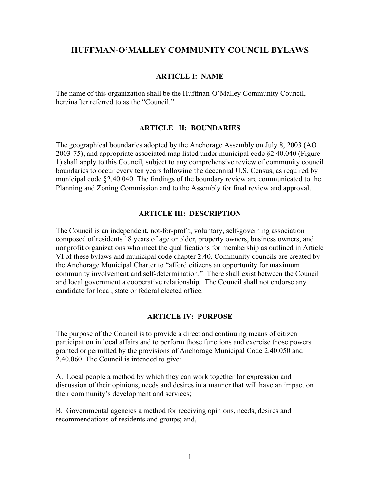### **HUFFMAN-O'MALLEY COMMUNITY COUNCIL BYLAWS**

#### **ARTICLE I: NAME**

The name of this organization shall be the Huffman-O'Malley Community Council, hereinafter referred to as the "Council."

#### **ARTICLE II: BOUNDARIES**

The geographical boundaries adopted by the Anchorage Assembly on July 8, 2003 (AO 2003-75), and appropriate associated map listed under municipal code §2.40.040 (Figure 1) shall apply to this Council, subject to any comprehensive review of community council boundaries to occur every ten years following the decennial U.S. Census, as required by municipal code §2.40.040. The findings of the boundary review are communicated to the Planning and Zoning Commission and to the Assembly for final review and approval.

#### **ARTICLE III: DESCRIPTION**

The Council is an independent, not-for-profit, voluntary, self-governing association composed of residents 18 years of age or older, property owners, business owners, and nonprofit organizations who meet the qualifications for membership as outlined in Article VI of these bylaws and municipal code chapter 2.40. Community councils are created by the Anchorage Municipal Charter to "afford citizens an opportunity for maximum community involvement and self-determination." There shall exist between the Council and local government a cooperative relationship. The Council shall not endorse any candidate for local, state or federal elected office.

#### **ARTICLE IV: PURPOSE**

The purpose of the Council is to provide a direct and continuing means of citizen participation in local affairs and to perform those functions and exercise those powers granted or permitted by the provisions of Anchorage Municipal Code 2.40.050 and 2.40.060. The Council is intended to give:

A. Local people a method by which they can work together for expression and discussion of their opinions, needs and desires in a manner that will have an impact on their community's development and services;

B. Governmental agencies a method for receiving opinions, needs, desires and recommendations of residents and groups; and,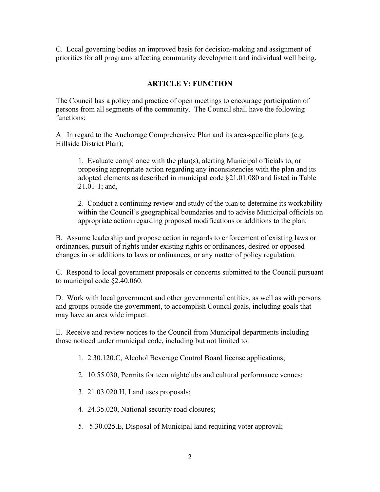C. Local governing bodies an improved basis for decision-making and assignment of priorities for all programs affecting community development and individual well being.

# **ARTICLE V: FUNCTION**

The Council has a policy and practice of open meetings to encourage participation of persons from all segments of the community. The Council shall have the following functions:

A In regard to the Anchorage Comprehensive Plan and its area-specific plans (e.g. Hillside District Plan);

1. Evaluate compliance with the plan(s), alerting Municipal officials to, or proposing appropriate action regarding any inconsistencies with the plan and its adopted elements as described in municipal code §21.01.080 and listed in Table 21.01-1; and,

2. Conduct a continuing review and study of the plan to determine its workability within the Council's geographical boundaries and to advise Municipal officials on appropriate action regarding proposed modifications or additions to the plan.

B. Assume leadership and propose action in regards to enforcement of existing laws or ordinances, pursuit of rights under existing rights or ordinances, desired or opposed changes in or additions to laws or ordinances, or any matter of policy regulation.

C. Respond to local government proposals or concerns submitted to the Council pursuant to municipal code §2.40.060.

D. Work with local government and other governmental entities, as well as with persons and groups outside the government, to accomplish Council goals, including goals that may have an area wide impact.

E. Receive and review notices to the Council from Municipal departments including those noticed under municipal code, including but not limited to:

- 1. 2.30.120.C, Alcohol Beverage Control Board license applications;
- 2. 10.55.030, Permits for teen nightclubs and cultural performance venues;
- 3. 21.03.020.H, Land uses proposals;
- 4. 24.35.020, National security road closures;
- 5. 5.30.025.E, Disposal of Municipal land requiring voter approval;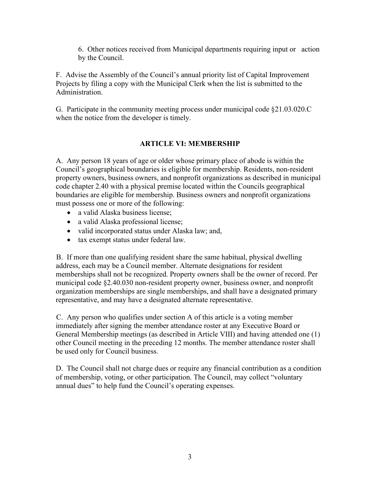6. Other notices received from Municipal departments requiring input or action by the Council.

F. Advise the Assembly of the Council's annual priority list of Capital Improvement Projects by filing a copy with the Municipal Clerk when the list is submitted to the Administration.

G. Participate in the community meeting process under municipal code §21.03.020.C when the notice from the developer is timely.

# **ARTICLE VI: MEMBERSHIP**

A. Any person 18 years of age or older whose primary place of abode is within the Council's geographical boundaries is eligible for membership. Residents, non-resident property owners, business owners, and nonprofit organizations as described in municipal code chapter 2.40 with a physical premise located within the Councils geographical boundaries are eligible for membership. Business owners and nonprofit organizations must possess one or more of the following:

- a valid Alaska business license;
- a valid Alaska professional license;
- valid incorporated status under Alaska law; and,
- tax exempt status under federal law.

B. If more than one qualifying resident share the same habitual, physical dwelling address, each may be a Council member. Alternate designations for resident memberships shall not be recognized. Property owners shall be the owner of record. Per municipal code §2.40.030 non-resident property owner, business owner, and nonprofit organization memberships are single memberships, and shall have a designated primary representative, and may have a designated alternate representative.

C. Any person who qualifies under section A of this article is a voting member immediately after signing the member attendance roster at any Executive Board or General Membership meetings (as described in Article VIII) and having attended one (1) other Council meeting in the preceding 12 months. The member attendance roster shall be used only for Council business.

D. The Council shall not charge dues or require any financial contribution as a condition of membership, voting, or other participation. The Council, may collect "voluntary annual dues" to help fund the Council's operating expenses.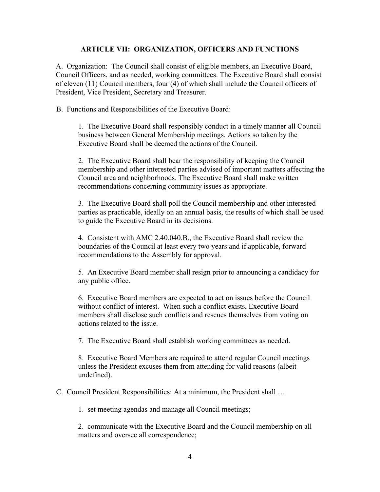### **ARTICLE VII: ORGANIZATION, OFFICERS AND FUNCTIONS**

A. Organization: The Council shall consist of eligible members, an Executive Board, Council Officers, and as needed, working committees. The Executive Board shall consist of eleven (11) Council members, four (4) of which shall include the Council officers of President, Vice President, Secretary and Treasurer.

B. Functions and Responsibilities of the Executive Board:

1. The Executive Board shall responsibly conduct in a timely manner all Council business between General Membership meetings. Actions so taken by the Executive Board shall be deemed the actions of the Council.

2. The Executive Board shall bear the responsibility of keeping the Council membership and other interested parties advised of important matters affecting the Council area and neighborhoods. The Executive Board shall make written recommendations concerning community issues as appropriate.

3. The Executive Board shall poll the Council membership and other interested parties as practicable, ideally on an annual basis, the results of which shall be used to guide the Executive Board in its decisions.

4. Consistent with AMC 2.40.040.B., the Executive Board shall review the boundaries of the Council at least every two years and if applicable, forward recommendations to the Assembly for approval.

5. An Executive Board member shall resign prior to announcing a candidacy for any public office.

6. Executive Board members are expected to act on issues before the Council without conflict of interest. When such a conflict exists, Executive Board members shall disclose such conflicts and rescues themselves from voting on actions related to the issue.

7. The Executive Board shall establish working committees as needed.

8. Executive Board Members are required to attend regular Council meetings unless the President excuses them from attending for valid reasons (albeit undefined).

C. Council President Responsibilities: At a minimum, the President shall …

1. set meeting agendas and manage all Council meetings;

2. communicate with the Executive Board and the Council membership on all matters and oversee all correspondence;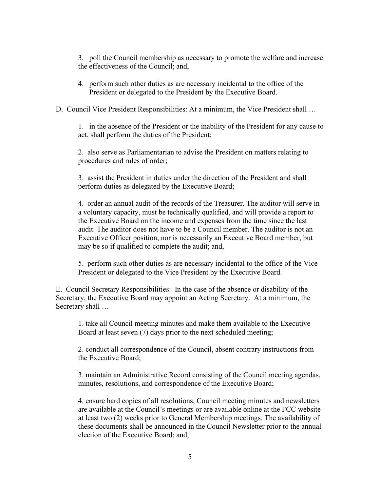3. poll the Council membership as necessary to promote the welfare and increase the effectiveness of the Council; and,

- 4. perform such other duties as are necessary incidental to the office of the President or delegated to the President by the Executive Board.
- D. Council Vice President Responsibilities: At a minimum, the Vice President shall …

1. in the absence of the President or the inability of the President for any cause to act, shall perform the duties of the President;

2. also serve as Parliamentarian to advise the President on matters relating to procedures and rules of order;

3. assist the President in duties under the direction of the President and shall perform duties as delegated by the Executive Board;

4. order an annual audit of the records of the Treasurer. The auditor will serve in a voluntary capacity, must be technically qualified, and will provide a report to the Executive Board on the income and expenses from the time since the last audit. The auditor does not have to be a Council member. The auditor is not an Executive Officer position, nor is necessarily an Executive Board member, but may be so if qualified to complete the audit; and,

5. perform such other duties as are necessary incidental to the office of the Vice President or delegated to the Vice President by the Executive Board.

E. Council Secretary Responsibilities: In the case of the absence or disability of the Secretary, the Executive Board may appoint an Acting Secretary. At a minimum, the Secretary shall …

1. take all Council meeting minutes and make them available to the Executive Board at least seven (7) days prior to the next scheduled meeting;

2. conduct all correspondence of the Council, absent contrary instructions from the Executive Board;

3. maintain an Administrative Record consisting of the Council meeting agendas, minutes, resolutions, and correspondence of the Executive Board;

4. ensure hard copies of all resolutions, Council meeting minutes and newsletters are available at the Council's meetings or are available online at the FCC website at least two (2) weeks prior to General Membership meetings. The availability of these documents shall be announced in the Council Newsletter prior to the annual election of the Executive Board; and,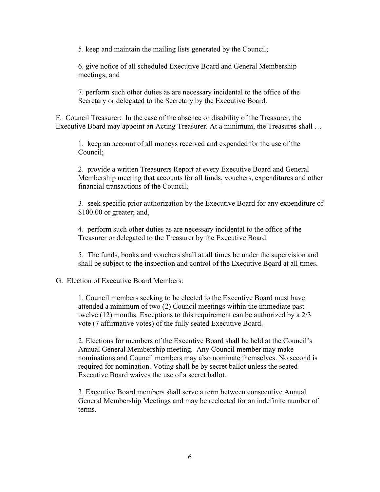5. keep and maintain the mailing lists generated by the Council;

6. give notice of all scheduled Executive Board and General Membership meetings; and

7. perform such other duties as are necessary incidental to the office of the Secretary or delegated to the Secretary by the Executive Board.

F. Council Treasurer: In the case of the absence or disability of the Treasurer, the Executive Board may appoint an Acting Treasurer. At a minimum, the Treasures shall …

1. keep an account of all moneys received and expended for the use of the Council;

2. provide a written Treasurers Report at every Executive Board and General Membership meeting that accounts for all funds, vouchers, expenditures and other financial transactions of the Council;

3. seek specific prior authorization by the Executive Board for any expenditure of \$100.00 or greater; and,

4. perform such other duties as are necessary incidental to the office of the Treasurer or delegated to the Treasurer by the Executive Board.

5. The funds, books and vouchers shall at all times be under the supervision and shall be subject to the inspection and control of the Executive Board at all times.

#### G. Election of Executive Board Members:

1. Council members seeking to be elected to the Executive Board must have attended a minimum of two (2) Council meetings within the immediate past twelve (12) months. Exceptions to this requirement can be authorized by a 2/3 vote (7 affirmative votes) of the fully seated Executive Board.

2. Elections for members of the Executive Board shall be held at the Council's Annual General Membership meeting. Any Council member may make nominations and Council members may also nominate themselves. No second is required for nomination. Voting shall be by secret ballot unless the seated Executive Board waives the use of a secret ballot.

3. Executive Board members shall serve a term between consecutive Annual General Membership Meetings and may be reelected for an indefinite number of terms.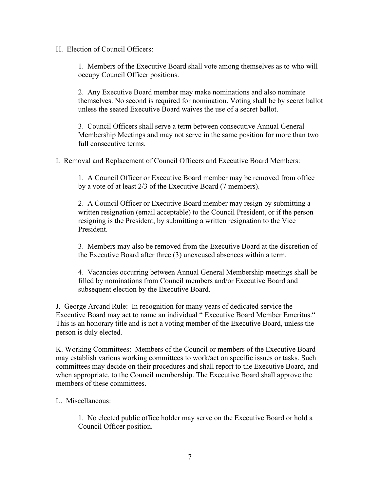H. Election of Council Officers:

1. Members of the Executive Board shall vote among themselves as to who will occupy Council Officer positions.

2. Any Executive Board member may make nominations and also nominate themselves. No second is required for nomination. Voting shall be by secret ballot unless the seated Executive Board waives the use of a secret ballot.

3. Council Officers shall serve a term between consecutive Annual General Membership Meetings and may not serve in the same position for more than two full consecutive terms.

I. Removal and Replacement of Council Officers and Executive Board Members:

1. A Council Officer or Executive Board member may be removed from office by a vote of at least 2/3 of the Executive Board (7 members).

2. A Council Officer or Executive Board member may resign by submitting a written resignation (email acceptable) to the Council President, or if the person resigning is the President, by submitting a written resignation to the Vice President.

3. Members may also be removed from the Executive Board at the discretion of the Executive Board after three (3) unexcused absences within a term.

4. Vacancies occurring between Annual General Membership meetings shall be filled by nominations from Council members and/or Executive Board and subsequent election by the Executive Board.

J. George Arcand Rule: In recognition for many years of dedicated service the Executive Board may act to name an individual " Executive Board Member Emeritus." This is an honorary title and is not a voting member of the Executive Board, unless the person is duly elected.

K. Working Committees: Members of the Council or members of the Executive Board may establish various working committees to work/act on specific issues or tasks. Such committees may decide on their procedures and shall report to the Executive Board, and when appropriate, to the Council membership. The Executive Board shall approve the members of these committees.

#### L. Miscellaneous:

1. No elected public office holder may serve on the Executive Board or hold a Council Officer position.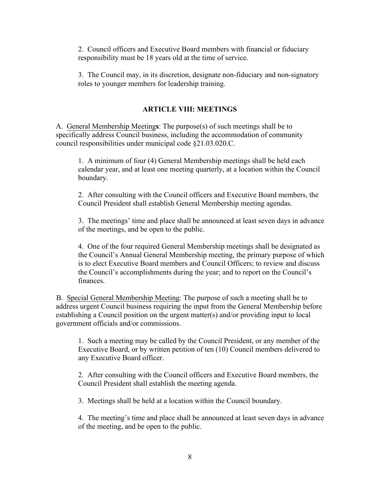2. Council officers and Executive Board members with financial or fiduciary responsibility must be 18 years old at the time of service.

3. The Council may, in its discretion, designate non-fiduciary and non-signatory roles to younger members for leadership training.

### **ARTICLE VIII: MEETINGS**

A. General Membership Meeting**s**: The purpose(s) of such meetings shall be to specifically address Council business, including the accommodation of community council responsibilities under municipal code §21.03.020.C.

1. A minimum of four (4) General Membership meetings shall be held each calendar year, and at least one meeting quarterly, at a location within the Council boundary.

2. After consulting with the Council officers and Executive Board members, the Council President shall establish General Membership meeting agendas.

3. The meetings' time and place shall be announced at least seven days in advance of the meetings, and be open to the public.

4. One of the four required General Membership meetings shall be designated as the Council's Annual General Membership meeting, the primary purpose of which is to elect Executive Board members and Council Officers; to review and discuss the Council's accomplishments during the year; and to report on the Council's finances.

B. Special General Membership Meeting: The purpose of such a meeting shall be to address urgent Council business requiring the input from the General Membership before establishing a Council position on the urgent matter(s) and/or providing input to local government officials and/or commissions.

1. Such a meeting may be called by the Council President, or any member of the Executive Board, or by written petition of ten (10) Council members delivered to any Executive Board officer.

2. After consulting with the Council officers and Executive Board members, the Council President shall establish the meeting agenda.

3. Meetings shall be held at a location within the Council boundary.

4. The meeting's time and place shall be announced at least seven days in advance of the meeting, and be open to the public.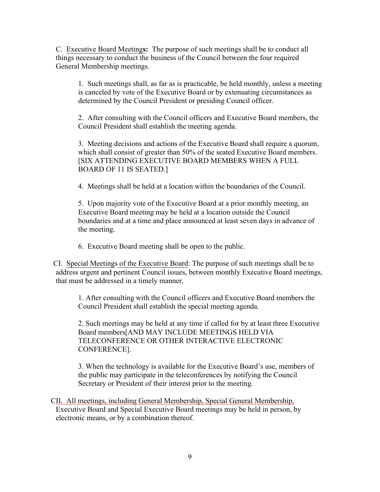C. Executive Board Meeting**s:** The purpose of such meetings shall be to conduct all things necessary to conduct the business of the Council between the four required General Membership meetings.

1. Such meetings shall, as far as is practicable, be held monthly, unless a meeting is canceled by vote of the Executive Board or by extenuating circumstances as determined by the Council President or presiding Council officer.

2. After consulting with the Council officers and Executive Board members, the Council President shall establish the meeting agenda.

3. Meeting decisions and actions of the Executive Board shall require a quorum, which shall consist of greater than 50% of the seated Executive Board members. [SIX ATTENDING EXECUTIVE BOARD MEMBERS WHEN A FULL BOARD OF 11 IS SEATED.]

4. Meetings shall be held at a location within the boundaries of the Council.

5. Upon majority vote of the Executive Board at a prior monthly meeting, an Executive Board meeting may be held at a location outside the Council boundaries and at a time and place announced at least seven days in advance of the meeting.

6. Executive Board meeting shall be open to the public.

CI. Special Meetings of the Executive Board: The purpose of such meetings shall be to address urgent and pertinent Council issues, between monthly Executive Board meetings, that must be addressed in a timely manner.

1. After consulting with the Council officers and Executive Board members the Council President shall establish the special meeting agenda.

2. Such meetings may be held at any time if called for by at least three Executive Board members[AND MAY INCLUDE MEETINGS HELD VIA TELECONFERENCE OR OTHER INTERACTIVE ELECTRONIC CONFERENCE].

3. When the technology is available for the Executive Board's use, members of the public may participate in the teleconferences by notifying the Council Secretary or President of their interest prior to the meeting.

CII. All meetings, including General Membership, Special General Membership, Executive Board and Special Executive Board meetings may be held in person, by electronic means, or by a combination thereof.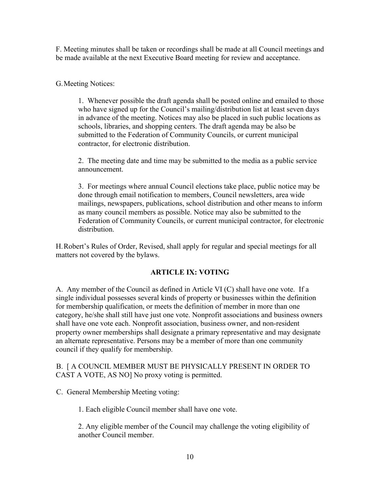F. Meeting minutes shall be taken or recordings shall be made at all Council meetings and be made available at the next Executive Board meeting for review and acceptance.

G.Meeting Notices:

1. Whenever possible the draft agenda shall be posted online and emailed to those who have signed up for the Council's mailing/distribution list at least seven days in advance of the meeting. Notices may also be placed in such public locations as schools, libraries, and shopping centers. The draft agenda may be also be submitted to the Federation of Community Councils, or current municipal contractor, for electronic distribution.

2. The meeting date and time may be submitted to the media as a public service announcement.

3. For meetings where annual Council elections take place, public notice may be done through email notification to members, Council newsletters, area wide mailings, newspapers, publications, school distribution and other means to inform as many council members as possible. Notice may also be submitted to the Federation of Community Councils, or current municipal contractor, for electronic distribution.

H.Robert's Rules of Order, Revised, shall apply for regular and special meetings for all matters not covered by the bylaws.

### **ARTICLE IX: VOTING**

A. Any member of the Council as defined in Article VI (C) shall have one vote. If a single individual possesses several kinds of property or businesses within the definition for membership qualification, or meets the definition of member in more than one category, he/she shall still have just one vote. Nonprofit associations and business owners shall have one vote each. Nonprofit association, business owner, and non-resident property owner memberships shall designate a primary representative and may designate an alternate representative. Persons may be a member of more than one community council if they qualify for membership.

### B. [ A COUNCIL MEMBER MUST BE PHYSICALLY PRESENT IN ORDER TO CAST A VOTE, AS NO] No proxy voting is permitted.

C. General Membership Meeting voting:

1. Each eligible Council member shall have one vote.

2. Any eligible member of the Council may challenge the voting eligibility of another Council member.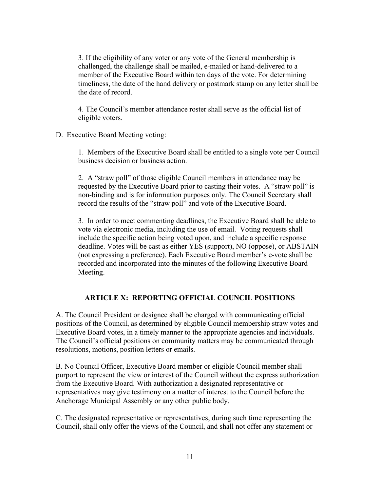3. If the eligibility of any voter or any vote of the General membership is challenged, the challenge shall be mailed, e-mailed or hand-delivered to a member of the Executive Board within ten days of the vote. For determining timeliness, the date of the hand delivery or postmark stamp on any letter shall be the date of record.

4. The Council's member attendance roster shall serve as the official list of eligible voters.

D. Executive Board Meeting voting:

1. Members of the Executive Board shall be entitled to a single vote per Council business decision or business action.

2. A "straw poll" of those eligible Council members in attendance may be requested by the Executive Board prior to casting their votes. A "straw poll" is non-binding and is for information purposes only. The Council Secretary shall record the results of the "straw poll" and vote of the Executive Board.

3. In order to meet commenting deadlines, the Executive Board shall be able to vote via electronic media, including the use of email. Voting requests shall include the specific action being voted upon, and include a specific response deadline. Votes will be cast as either YES (support), NO (oppose), or ABSTAIN (not expressing a preference). Each Executive Board member's e-vote shall be recorded and incorporated into the minutes of the following Executive Board Meeting.

### **ARTICLE X: REPORTING OFFICIAL COUNCIL POSITIONS**

A. The Council President or designee shall be charged with communicating official positions of the Council, as determined by eligible Council membership straw votes and Executive Board votes, in a timely manner to the appropriate agencies and individuals. The Council's official positions on community matters may be communicated through resolutions, motions, position letters or emails.

B. No Council Officer, Executive Board member or eligible Council member shall purport to represent the view or interest of the Council without the express authorization from the Executive Board. With authorization a designated representative or representatives may give testimony on a matter of interest to the Council before the Anchorage Municipal Assembly or any other public body.

C. The designated representative or representatives, during such time representing the Council, shall only offer the views of the Council, and shall not offer any statement or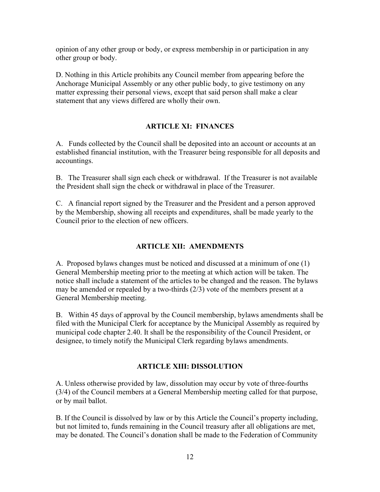opinion of any other group or body, or express membership in or participation in any other group or body.

D. Nothing in this Article prohibits any Council member from appearing before the Anchorage Municipal Assembly or any other public body, to give testimony on any matter expressing their personal views, except that said person shall make a clear statement that any views differed are wholly their own.

### **ARTICLE XI: FINANCES**

A. Funds collected by the Council shall be deposited into an account or accounts at an established financial institution, with the Treasurer being responsible for all deposits and accountings.

B. The Treasurer shall sign each check or withdrawal. If the Treasurer is not available the President shall sign the check or withdrawal in place of the Treasurer.

C. A financial report signed by the Treasurer and the President and a person approved by the Membership, showing all receipts and expenditures, shall be made yearly to the Council prior to the election of new officers.

## **ARTICLE XII: AMENDMENTS**

A. Proposed bylaws changes must be noticed and discussed at a minimum of one (1) General Membership meeting prior to the meeting at which action will be taken. The notice shall include a statement of the articles to be changed and the reason. The bylaws may be amended or repealed by a two-thirds (2/3) vote of the members present at a General Membership meeting.

B. Within 45 days of approval by the Council membership, bylaws amendments shall be filed with the Municipal Clerk for acceptance by the Municipal Assembly as required by municipal code chapter 2.40. It shall be the responsibility of the Council President, or designee, to timely notify the Municipal Clerk regarding bylaws amendments.

### **ARTICLE XIII: DISSOLUTION**

A. Unless otherwise provided by law, dissolution may occur by vote of three-fourths (3/4) of the Council members at a General Membership meeting called for that purpose, or by mail ballot.

B. If the Council is dissolved by law or by this Article the Council's property including, but not limited to, funds remaining in the Council treasury after all obligations are met, may be donated. The Council's donation shall be made to the Federation of Community